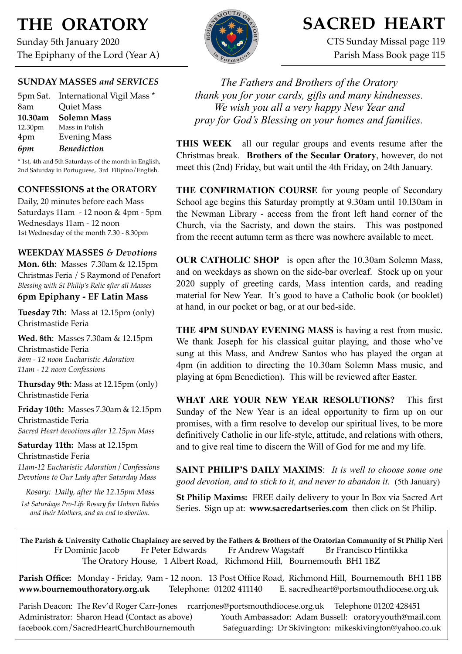# **THE ORATORY**

Sunday 5th January 2020 The Epiphany of the Lord (Year A)

## **SUNDAY MASSES** *and SERVICES*

5pm Sat. International Vigil Mass \* 8am Quiet Mass **10.30am Solemn Mass** 12.30pm Mass in Polish 4pm Evening Mass *6pm Benediction*

\* 1st, 4th and 5th Saturdays of the month in English, 2nd Saturday in Portuguese, 3rd Filipino/English.

## **CONFESSIONS at the ORATORY**

Daily, 20 minutes before each Mass Saturdays 11am - 12 noon & 4pm - 5pm Wednesdays 11am - 12 noon 1st Wednesday of the month 7.30 - 8.30pm

### **WEEKDAY MASSES** *& Devotions*

**Mon. 6th**: Masses 7.30am & 12.15pm Christmas Feria / S Raymond of Penafort *Blessing with St Philip's Relic after all Masses*

## **6pm Epiphany - EF Latin Mass**

**Tuesday 7th**: Mass at 12.15pm (only) Christmastide Feria

**Wed. 8th**: Masses 7.30am & 12.15pm Christmastide Feria *8am - 12 noon Eucharistic Adoration 11am - 12 noon Confessions*

**Thursday 9th**: Mass at 12.15pm (only) Christmastide Feria

**Friday 10th:** Masses 7.30am & 12.15pm Christmastide Feria *Sacred Heart devotions after 12.15pm Mass*

**Saturday 11th:** Mass at 12.15pm Christmastide Feria

*11am-12 Eucharistic Adoration / Confessions Devotions to Our Lady after Saturday Mass*

*Rosary: Daily, after the 12.15pm Mass*

*1st Saturdays Pro-Life Rosary for Unborn Babies and their Mothers, and an end to abortion.*



## **SACRED HEART**

CTS Sunday Missal page 119 Parish Mass Book page 115

*The Fathers and Brothers of the Oratory thank you for your cards, gifts and many kindnesses. We wish you all a very happy New Year and pray for God's Blessing on your homes and families.* 

**THIS WEEK** all our regular groups and events resume after the Christmas break. **Brothers of the Secular Oratory**, however, do not meet this (2nd) Friday, but wait until the 4th Friday, on 24th January.

**THE CONFIRMATION COURSE** for young people of Secondary School age begins this Saturday promptly at 9.30am until 10.l30am in the Newman Library - access from the front left hand corner of the Church, via the Sacristy, and down the stairs. This was postponed from the recent autumn term as there was nowhere available to meet.

**OUR CATHOLIC SHOP** is open after the 10.30am Solemn Mass, and on weekdays as shown on the side-bar overleaf. Stock up on your 2020 supply of greeting cards, Mass intention cards, and reading material for New Year. It's good to have a Catholic book (or booklet) at hand, in our pocket or bag, or at our bed-side.

**THE 4PM SUNDAY EVENING MASS** is having a rest from music. We thank Joseph for his classical guitar playing, and those who've sung at this Mass, and Andrew Santos who has played the organ at 4pm (in addition to directing the 10.30am Solemn Mass music, and playing at 6pm Benediction). This will be reviewed after Easter.

**WHAT ARE YOUR NEW YEAR RESOLUTIONS?** This first Sunday of the New Year is an ideal opportunity to firm up on our promises, with a firm resolve to develop our spiritual lives, to be more definitively Catholic in our life-style, attitude, and relations with others, and to give real time to discern the Will of God for me and my life.

**SAINT PHILIP'S DAILY MAXIMS**: *It is well to choose some one good devotion, and to stick to it, and never to abandon it*. (5th January)

**St Philip Maxims:** FREE daily delivery to your In Box via Sacred Art Series. Sign up at: **[www.sacredartseries.com](http://www.sacredartseries.com)** then click on St Philip.

**The Parish & University Catholic Chaplaincy are served by the Fathers & Brothers of the Oratorian Community of St Philip Neri**  Fr Dominic Jacob Fr Peter Edwards Fr Andrew Wagstaff Br Francisco Hintikka The Oratory House, 1 Albert Road, Richmond Hill, Bournemouth BH1 1BZ

**Parish Office:** Monday - Friday, 9am - 12 noon. 13 Post Office Road, Richmond Hill, Bournemouth BH1 1BB **[www.bournemouthoratory.org.uk](http://www.bournemoithoratory.org.uk)** Telephone: 01202 411140 E. [sacredheart@portsmouthdiocese.org.uk](mailto:sacredheart@portsmouthdiocese.org.uk)

Parish Deacon: The Rev'd Roger Carr-Jones [rcarrjones@portsmouthdiocese.org.uk](mailto:rcarrjones@portsmouthdiocese.org.uk) Telephone 01202 428451 Administrator: Sharon Head (Contact as above) Youth Ambassador: Adam Bussell: [oratoryyouth@mail.com](http://oratoryyouth.mail.com) [facebook.com/SacredHeartChurchBournemouth](http://facebook.com/SaccredHeartChurchBournemouth) Safeguarding: Dr Skivington: mikeskivington@yahoo.co.uk